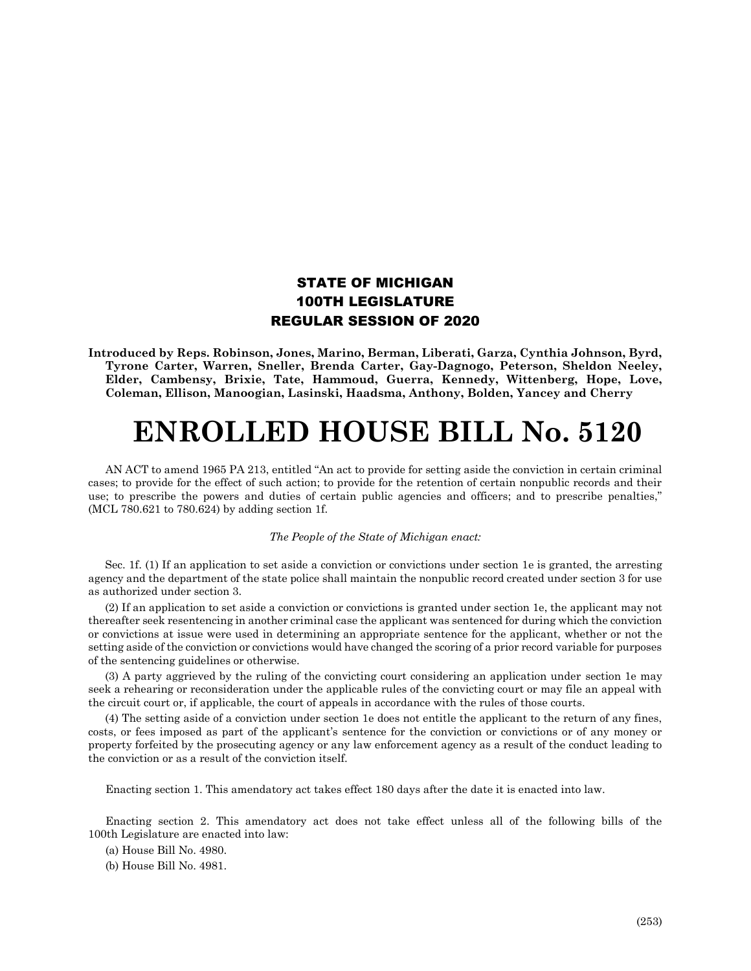## STATE OF MICHIGAN 100TH LEGISLATURE REGULAR SESSION OF 2020

**Introduced by Reps. Robinson, Jones, Marino, Berman, Liberati, Garza, Cynthia Johnson, Byrd, Tyrone Carter, Warren, Sneller, Brenda Carter, Gay-Dagnogo, Peterson, Sheldon Neeley, Elder, Cambensy, Brixie, Tate, Hammoud, Guerra, Kennedy, Wittenberg, Hope, Love, Coleman, Ellison, Manoogian, Lasinski, Haadsma, Anthony, Bolden, Yancey and Cherry**

## **ENROLLED HOUSE BILL No. 5120**

AN ACT to amend 1965 PA 213, entitled "An act to provide for setting aside the conviction in certain criminal cases; to provide for the effect of such action; to provide for the retention of certain nonpublic records and their use; to prescribe the powers and duties of certain public agencies and officers; and to prescribe penalties," (MCL 780.621 to 780.624) by adding section 1f.

## *The People of the State of Michigan enact:*

Sec. 1f. (1) If an application to set aside a conviction or convictions under section 1e is granted, the arresting agency and the department of the state police shall maintain the nonpublic record created under section 3 for use as authorized under section 3.

(2) If an application to set aside a conviction or convictions is granted under section 1e, the applicant may not thereafter seek resentencing in another criminal case the applicant was sentenced for during which the conviction or convictions at issue were used in determining an appropriate sentence for the applicant, whether or not the setting aside of the conviction or convictions would have changed the scoring of a prior record variable for purposes of the sentencing guidelines or otherwise.

(3) A party aggrieved by the ruling of the convicting court considering an application under section 1e may seek a rehearing or reconsideration under the applicable rules of the convicting court or may file an appeal with the circuit court or, if applicable, the court of appeals in accordance with the rules of those courts.

(4) The setting aside of a conviction under section 1e does not entitle the applicant to the return of any fines, costs, or fees imposed as part of the applicant's sentence for the conviction or convictions or of any money or property forfeited by the prosecuting agency or any law enforcement agency as a result of the conduct leading to the conviction or as a result of the conviction itself.

Enacting section 1. This amendatory act takes effect 180 days after the date it is enacted into law.

Enacting section 2. This amendatory act does not take effect unless all of the following bills of the 100th Legislature are enacted into law:

(a) House Bill No. 4980.

(b) House Bill No. 4981.